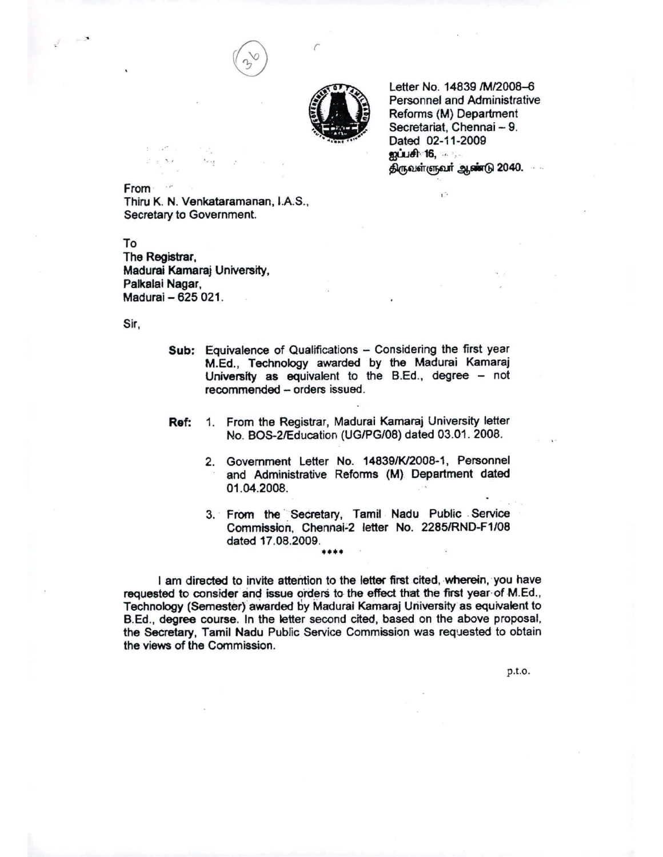



*r*

Letter No. 14839 /M/2008-6 Personnel and Administrative Reforms (M) Department Secretariat, Chennai - 9. Dated 02-11-2009 public 16, .... திருவள்ளுவ**ர் ஆண்**டு 2040.

,-

From Thiru K. N. Venkataramanan, I.A.S., Secretary to Government.

To The Registrar, Madura! Kamaraj University, Palkalai Nagar, Madurai - 625 021.

..

Sir,

- Sub: Equivalence of Qualifications Considering the first year M.Ed., Technology awarded by the Madurai Kamaraj University as equivalent to the B.Ed., degree  $-$  not recommended - orders issued.
- Ref: 1. From the Registrar, Madurai Kamaraj University letter No. BOS-2/Education (UG/PG/08) dated 03.01. 2008.
	- 2. Govemment Letter No. 148391K12008-1, Personnel and Administrative Reforms (M) Department dated 01.04.2008.
	- 3. From the Secretary, Tamil Nadu Public Service Commission, Chennal~2 letter No. 2285/RND-F1/08 dated 17.08.2009. **••••**

I am directed to invite attention to the letter first cited, wherein, 'you have requested to consider and issue orders to the effect that the first year of M.Ed., Technology (Semester) awarded by Madural Kamaraj University as equivalent to B.Ed., degree course. In the letter second cited, based on the above proposal, the Secretary, Tamil Nadu Public Service Commission was requested to obtain the views of the Commission.

p.t.O.